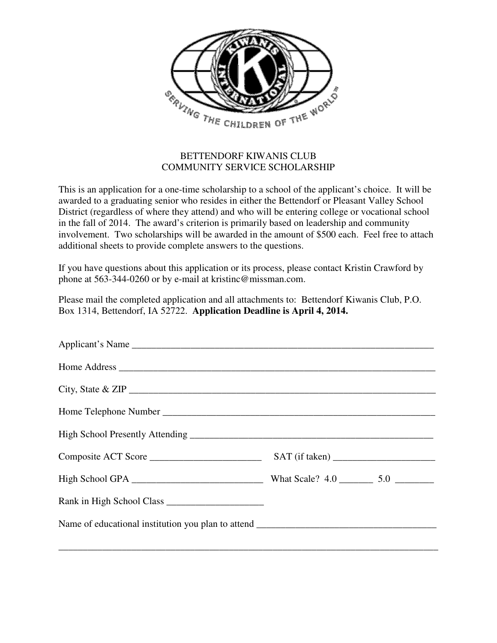

## BETTENDORF KIWANIS CLUB COMMUNITY SERVICE SCHOLARSHIP

This is an application for a one-time scholarship to a school of the applicant's choice. It will be awarded to a graduating senior who resides in either the Bettendorf or Pleasant Valley School District (regardless of where they attend) and who will be entering college or vocational school in the fall of 2014. The award's criterion is primarily based on leadership and community involvement. Two scholarships will be awarded in the amount of \$500 each. Feel free to attach additional sheets to provide complete answers to the questions.

If you have questions about this application or its process, please contact Kristin Crawford by phone at 563-344-0260 or by e-mail at kristinc@missman.com.

Please mail the completed application and all attachments to: Bettendorf Kiwanis Club, P.O. Box 1314, Bettendorf, IA 52722. **Application Deadline is April 4, 2014.**

| City, State & ZIP |  |
|-------------------|--|
|                   |  |
|                   |  |
|                   |  |
|                   |  |
|                   |  |
|                   |  |
|                   |  |